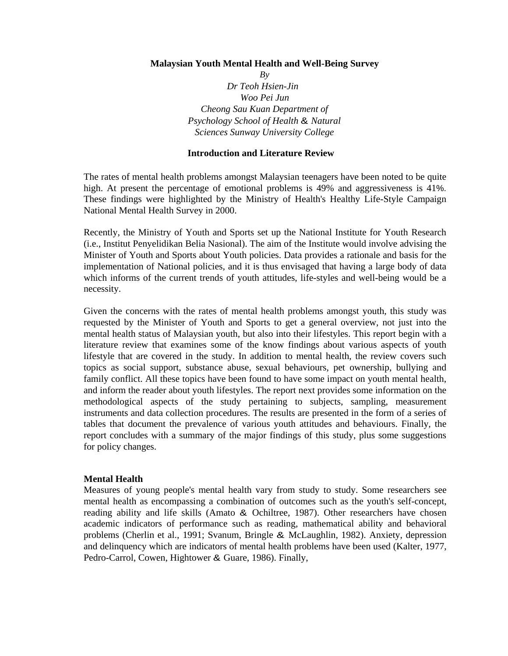#### **Malaysian Youth Mental Health and Well-Being Survey**

*By Dr Teoh Hsien-Jin Woo Pei Jun Cheong Sau Kuan Department of Psychology School of Health* & *Natural Sciences Sunway University College* 

#### **Introduction and Literature Review**

The rates of mental health problems amongst Malaysian teenagers have been noted to be quite high. At present the percentage of emotional problems is 49% and aggressiveness is 41%. These findings were highlighted by the Ministry of Health's Healthy Life-Style Campaign National Mental Health Survey in 2000.

Recently, the Ministry of Youth and Sports set up the National Institute for Youth Research (i.e., Institut Penyelidikan Belia Nasional). The aim of the Institute would involve advising the Minister of Youth and Sports about Youth policies. Data provides a rationale and basis for the implementation of National policies, and it is thus envisaged that having a large body of data which informs of the current trends of youth attitudes, life-styles and well-being would be a necessity.

Given the concerns with the rates of mental health problems amongst youth, this study was requested by the Minister of Youth and Sports to get a general overview, not just into the mental health status of Malaysian youth, but also into their lifestyles. This report begin with a literature review that examines some of the know findings about various aspects of youth lifestyle that are covered in the study. In addition to mental health, the review covers such topics as social support, substance abuse, sexual behaviours, pet ownership, bullying and family conflict. All these topics have been found to have some impact on youth mental health, and inform the reader about youth lifestyles. The report next provides some information on the methodological aspects of the study pertaining to subjects, sampling, measurement instruments and data collection procedures. The results are presented in the form of a series of tables that document the prevalence of various youth attitudes and behaviours. Finally, the report concludes with a summary of the major findings of this study, plus some suggestions for policy changes.

### **Mental Health**

Measures of young people's mental health vary from study to study. Some researchers see mental health as encompassing a combination of outcomes such as the youth's self-concept, reading ability and life skills (Amato & Ochiltree, 1987). Other researchers have chosen academic indicators of performance such as reading, mathematical ability and behavioral problems (Cherlin et al., 1991; Svanum, Bringle & McLaughlin, 1982). Anxiety, depression and delinquency which are indicators of mental health problems have been used (Kalter, 1977, Pedro-Carrol, Cowen, Hightower & Guare, 1986). Finally,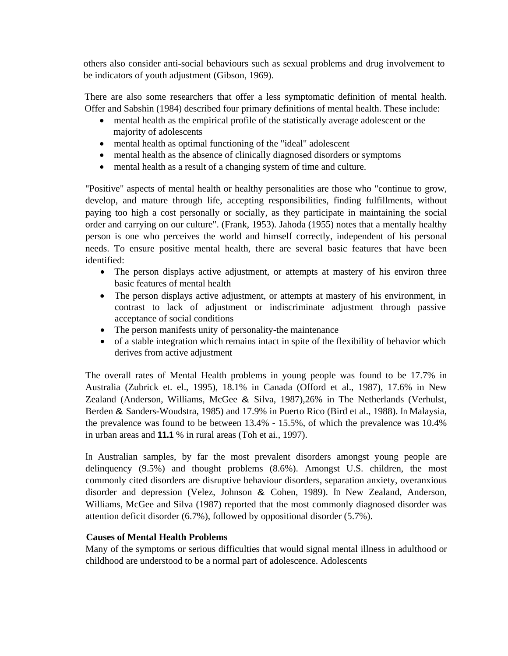others also consider anti-social behaviours such as sexual problems and drug involvement to be indicators of youth adjustment (Gibson, 1969).

There are also some researchers that offer a less symptomatic definition of mental health. Offer and Sabshin (1984) described four primary definitions of mental health. These include:

- mental health as the empirical profile of the statistically average adolescent or the majority of adolescents
- mental health as optimal functioning of the "ideal" adolescent
- mental health as the absence of clinically diagnosed disorders or symptoms
- mental health as a result of a changing system of time and culture.

"Positive" aspects of mental health or healthy personalities are those who "continue to grow, develop, and mature through life, accepting responsibilities, finding fulfillments, without paying too high a cost personally or socially, as they participate in maintaining the social order and carrying on our culture". (Frank, 1953). Jahoda (1955) notes that a mentally healthy person is one who perceives the world and himself correctly, independent of his personal needs. To ensure positive mental health, there are several basic features that have been identified:

- The person displays active adjustment, or attempts at mastery of his environ three basic features of mental health
- The person displays active adjustment, or attempts at mastery of his environment, in contrast to lack of adjustment or indiscriminate adjustment through passive acceptance of social conditions
- The person manifests unity of personality-the maintenance
- of a stable integration which remains intact in spite of the flexibility of behavior which derives from active adjustment

The overall rates of Mental Health problems in young people was found to be 17.7% in Australia (Zubrick et. el., 1995), 18.1% in Canada (Offord et al., 1987), 17.6% in New Zealand (Anderson, Williams, McGee & Silva, 1987),26% in The Netherlands (Verhulst, Berden & Sanders-Woudstra, 1985) and 17.9% in Puerto Rico (Bird et al., 1988). In Malaysia, the prevalence was found to be between 13.4% - 15.5%, of which the prevalence was 10.4% in urban areas and **11.1** % in rural areas (Toh et ai., 1997).

In Australian samples, by far the most prevalent disorders amongst young people are delinquency (9.5%) and thought problems (8.6%). Amongst U.S. children, the most commonly cited disorders are disruptive behaviour disorders, separation anxiety, overanxious disorder and depression (Velez, Johnson & Cohen, 1989). In New Zealand, Anderson, Williams, McGee and Silva (1987) reported that the most commonly diagnosed disorder was attention deficit disorder (6.7%), followed by oppositional disorder (5.7%).

# **Causes of Mental Health Problems**

Many of the symptoms or serious difficulties that would signal mental illness in adulthood or childhood are understood to be a normal part of adolescence. Adolescents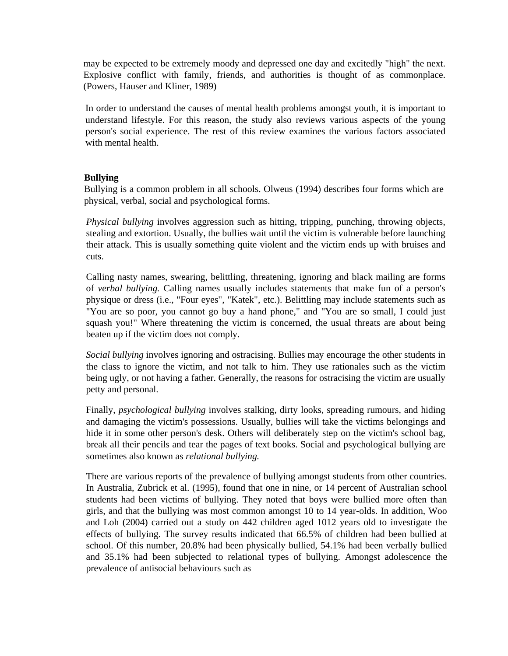may be expected to be extremely moody and depressed one day and excitedly "high" the next. Explosive conflict with family, friends, and authorities is thought of as commonplace. (Powers, Hauser and Kliner, 1989)

In order to understand the causes of mental health problems amongst youth, it is important to understand lifestyle. For this reason, the study also reviews various aspects of the young person's social experience. The rest of this review examines the various factors associated with mental health.

# **Bullying**

Bullying is a common problem in all schools. Olweus (1994) describes four forms which are physical, verbal, social and psychological forms.

*Physical bullying* involves aggression such as hitting, tripping, punching, throwing objects, stealing and extortion. Usually, the bullies wait until the victim is vulnerable before launching their attack. This is usually something quite violent and the victim ends up with bruises and cuts.

Calling nasty names, swearing, belittling, threatening, ignoring and black mailing are forms of *verbal bullying.* Calling names usually includes statements that make fun of a person's physique or dress (i.e., "Four eyes", "Katek", etc.). Belittling may include statements such as "You are so poor, you cannot go buy a hand phone," and "You are so small, I could just squash you!" Where threatening the victim is concerned, the usual threats are about being beaten up if the victim does not comply.

*Social bullying* involves ignoring and ostracising. Bullies may encourage the other students in the class to ignore the victim, and not talk to him. They use rationales such as the victim being ugly, or not having a father. Generally, the reasons for ostracising the victim are usually petty and personal.

Finally, *psychological bullying* involves stalking, dirty looks, spreading rumours, and hiding and damaging the victim's possessions. Usually, bullies will take the victims belongings and hide it in some other person's desk. Others will deliberately step on the victim's school bag, break all their pencils and tear the pages of text books. Social and psychological bullying are sometimes also known as *relational bullying.* 

There are various reports of the prevalence of bullying amongst students from other countries. In Australia, Zubrick et al. (1995), found that one in nine, or 14 percent of Australian school students had been victims of bullying. They noted that boys were bullied more often than girls, and that the bullying was most common amongst 10 to 14 year-olds. In addition, Woo and Loh (2004) carried out a study on 442 children aged 1012 years old to investigate the effects of bullying. The survey results indicated that 66.5% of children had been bullied at school. Of this number, 20.8% had been physically bullied, 54.1% had been verbally bullied and 35.1% had been subjected to relational types of bullying. Amongst adolescence the prevalence of antisocial behaviours such as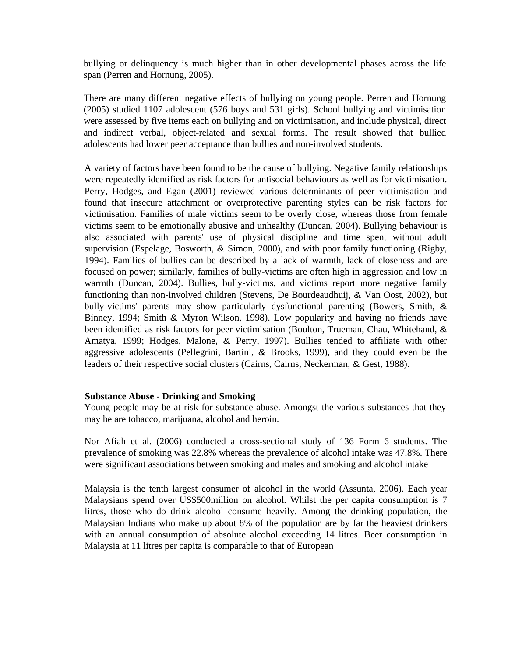bullying or delinquency is much higher than in other developmental phases across the life span (Perren and Hornung, 2005).

There are many different negative effects of bullying on young people. Perren and Hornung (2005) studied 1107 adolescent (576 boys and 531 girls). School bullying and victimisation were assessed by five items each on bullying and on victimisation, and include physical, direct and indirect verbal, object-related and sexual forms. The result showed that bullied adolescents had lower peer acceptance than bullies and non-involved students.

A variety of factors have been found to be the cause of bullying. Negative family relationships were repeatedly identified as risk factors for antisocial behaviours as well as for victimisation. Perry, Hodges, and Egan (2001) reviewed various determinants of peer victimisation and found that insecure attachment or overprotective parenting styles can be risk factors for victimisation. Families of male victims seem to be overly close, whereas those from female victims seem to be emotionally abusive and unhealthy (Duncan, 2004). Bullying behaviour is also associated with parents' use of physical discipline and time spent without adult supervision (Espelage, Bosworth, & Simon, 2000), and with poor family functioning (Rigby, 1994). Families of bullies can be described by a lack of warmth, lack of closeness and are focused on power; similarly, families of bully-victims are often high in aggression and low in warmth (Duncan, 2004). Bullies, bully-victims, and victims report more negative family functioning than non-involved children (Stevens, De Bourdeaudhuij, & Van Oost, 2002), but bully-victims' parents may show particularly dysfunctional parenting (Bowers, Smith, & Binney, 1994; Smith & Myron Wilson, 1998). Low popularity and having no friends have been identified as risk factors for peer victimisation (Boulton, Trueman, Chau, Whitehand, & Amatya, 1999; Hodges, Malone, & Perry, 1997). Bullies tended to affiliate with other aggressive adolescents (Pellegrini, Bartini, & Brooks, 1999), and they could even be the leaders of their respective social clusters (Cairns, Cairns, Neckerman, & Gest, 1988).

### **Substance Abuse - Drinking and Smoking**

Young people may be at risk for substance abuse. Amongst the various substances that they may be are tobacco, marijuana, alcohol and heroin.

Nor Afiah et al. (2006) conducted a cross-sectional study of 136 Form 6 students. The prevalence of smoking was 22.8% whereas the prevalence of alcohol intake was 47.8%. There were significant associations between smoking and males and smoking and alcohol intake

Malaysia is the tenth largest consumer of alcohol in the world (Assunta, 2006). Each year Malaysians spend over US\$500million on alcohol. Whilst the per capita consumption is 7 litres, those who do drink alcohol consume heavily. Among the drinking population, the Malaysian Indians who make up about 8% of the population are by far the heaviest drinkers with an annual consumption of absolute alcohol exceeding 14 litres. Beer consumption in Malaysia at 11 litres per capita is comparable to that of European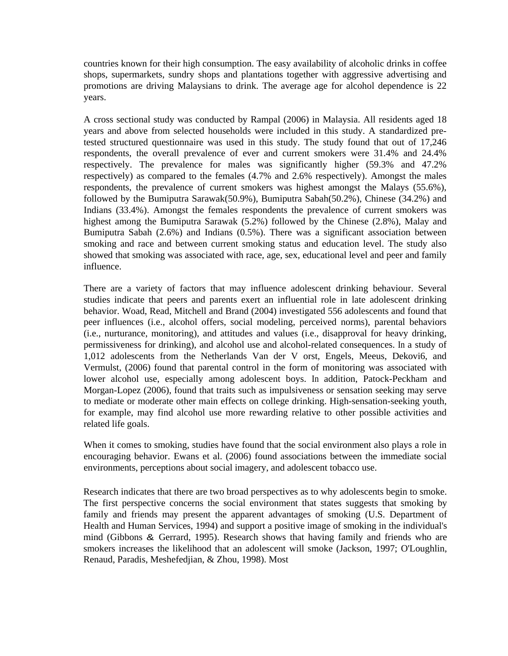countries known for their high consumption. The easy availability of alcoholic drinks in coffee shops, supermarkets, sundry shops and plantations together with aggressive advertising and promotions are driving Malaysians to drink. The average age for alcohol dependence is 22 years.

A cross sectional study was conducted by Rampal (2006) in Malaysia. All residents aged 18 years and above from selected households were included in this study. A standardized pretested structured questionnaire was used in this study. The study found that out of 17,246 respondents, the overall prevalence of ever and current smokers were 31.4% and 24.4% respectively. The prevalence for males was significantly higher (59.3% and 47.2% respectively) as compared to the females (4.7% and 2.6% respectively). Amongst the males respondents, the prevalence of current smokers was highest amongst the Malays (55.6%), followed by the Bumiputra Sarawak(50.9%), Bumiputra Sabah(50.2%), Chinese (34.2%) and Indians (33.4%). Amongst the females respondents the prevalence of current smokers was highest among the Bumiputra Sarawak (5.2%) followed by the Chinese (2.8%), Malay and Bumiputra Sabah (2.6%) and Indians (0.5%). There was a significant association between smoking and race and between current smoking status and education level. The study also showed that smoking was associated with race, age, sex, educational level and peer and family influence.

There are a variety of factors that may influence adolescent drinking behaviour. Several studies indicate that peers and parents exert an influential role in late adolescent drinking behavior. Woad, Read, Mitchell and Brand (2004) investigated 556 adolescents and found that peer influences (i.e., alcohol offers, social modeling, perceived norms), parental behaviors (i.e., nurturance, monitoring), and attitudes and values (i.e., disapproval for heavy drinking, permissiveness for drinking), and alcohol use and alcohol-related consequences. In a study of 1,012 adolescents from the Netherlands Van der V orst, Engels, Meeus, Dekovi6, and Vermulst, (2006) found that parental control in the form of monitoring was associated with lower alcohol use, especially among adolescent boys. In addition, Patock-Peckham and Morgan-Lopez (2006), found that traits such as impulsiveness or sensation seeking may serve to mediate or moderate other main effects on college drinking. High-sensation-seeking youth, for example, may find alcohol use more rewarding relative to other possible activities and related life goals.

When it comes to smoking, studies have found that the social environment also plays a role in encouraging behavior. Ewans et al. (2006) found associations between the immediate social environments, perceptions about social imagery, and adolescent tobacco use.

Research indicates that there are two broad perspectives as to why adolescents begin to smoke. The first perspective concerns the social environment that states suggests that smoking by family and friends may present the apparent advantages of smoking (U.S. Department of Health and Human Services, 1994) and support a positive image of smoking in the individual's mind (Gibbons & Gerrard, 1995). Research shows that having family and friends who are smokers increases the likelihood that an adolescent will smoke (Jackson, 1997; O'Loughlin, Renaud, Paradis, Meshefedjian, & Zhou, 1998). Most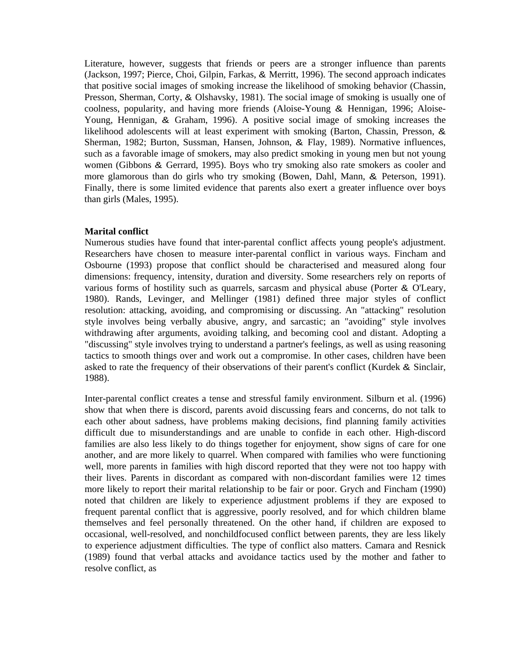Literature, however, suggests that friends or peers are a stronger influence than parents (Jackson, 1997; Pierce, Choi, Gilpin, Farkas, & Merritt, 1996). The second approach indicates that positive social images of smoking increase the likelihood of smoking behavior (Chassin, Presson, Sherman, Corty, & Olshavsky, 1981). The social image of smoking is usually one of coolness, popularity, and having more friends (Aloise-Young & Hennigan, 1996; Aloise-Young, Hennigan, & Graham, 1996). A positive social image of smoking increases the likelihood adolescents will at least experiment with smoking (Barton, Chassin, Presson, & Sherman, 1982; Burton, Sussman, Hansen, Johnson, & Flay, 1989). Normative influences, such as a favorable image of smokers, may also predict smoking in young men but not young women (Gibbons & Gerrard, 1995). Boys who try smoking also rate smokers as cooler and more glamorous than do girls who try smoking (Bowen, Dahl, Mann, & Peterson, 1991). Finally, there is some limited evidence that parents also exert a greater influence over boys than girls (Males, 1995).

## **Marital conflict**

Numerous studies have found that inter-parental conflict affects young people's adjustment. Researchers have chosen to measure inter-parental conflict in various ways. Fincham and Osbourne (1993) propose that conflict should be characterised and measured along four dimensions: frequency, intensity, duration and diversity. Some researchers rely on reports of various forms of hostility such as quarrels, sarcasm and physical abuse (Porter & O'Leary, 1980). Rands, Levinger, and Mellinger (1981) defined three major styles of conflict resolution: attacking, avoiding, and compromising or discussing. An "attacking" resolution style involves being verbally abusive, angry, and sarcastic; an "avoiding" style involves withdrawing after arguments, avoiding talking, and becoming cool and distant. Adopting a "discussing" style involves trying to understand a partner's feelings, as well as using reasoning tactics to smooth things over and work out a compromise. In other cases, children have been asked to rate the frequency of their observations of their parent's conflict (Kurdek & Sinclair, 1988).

Inter-parental conflict creates a tense and stressful family environment. Silburn et al. (1996) show that when there is discord, parents avoid discussing fears and concerns, do not talk to each other about sadness, have problems making decisions, find planning family activities difficult due to misunderstandings and are unable to confide in each other. High-discord families are also less likely to do things together for enjoyment, show signs of care for one another, and are more likely to quarrel. When compared with families who were functioning well, more parents in families with high discord reported that they were not too happy with their lives. Parents in discordant as compared with non-discordant families were 12 times more likely to report their marital relationship to be fair or poor. Grych and Fincham (1990) noted that children are likely to experience adjustment problems if they are exposed to frequent parental conflict that is aggressive, poorly resolved, and for which children blame themselves and feel personally threatened. On the other hand, if children are exposed to occasional, well-resolved, and nonchildfocused conflict between parents, they are less likely to experience adjustment difficulties. The type of conflict also matters. Camara and Resnick (1989) found that verbal attacks and avoidance tactics used by the mother and father to resolve conflict, as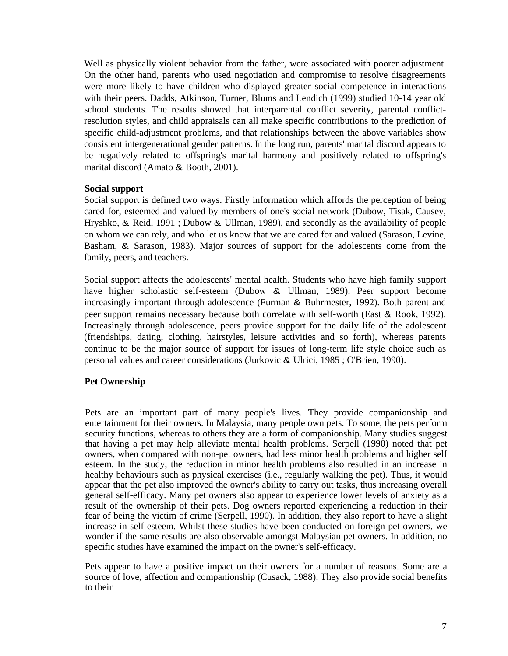Well as physically violent behavior from the father, were associated with poorer adjustment. On the other hand, parents who used negotiation and compromise to resolve disagreements were more likely to have children who displayed greater social competence in interactions with their peers. Dadds, Atkinson, Turner, Blums and Lendich (1999) studied 10-14 year old school students. The results showed that interparental conflict severity, parental conflictresolution styles, and child appraisals can all make specific contributions to the prediction of specific child-adjustment problems, and that relationships between the above variables show consistent intergenerational gender patterns. In the long run, parents' marital discord appears to be negatively related to offspring's marital harmony and positively related to offspring's marital discord (Amato & Booth, 2001).

## **Social support**

Social support is defined two ways. Firstly information which affords the perception of being cared for, esteemed and valued by members of one's social network (Dubow, Tisak, Causey, Hryshko, & Reid, 1991 ; Dubow & Ullman, 1989), and secondly as the availability of people on whom we can rely, and who let us know that we are cared for and valued (Sarason, Levine, Basham, & Sarason, 1983). Major sources of support for the adolescents come from the family, peers, and teachers.

Social support affects the adolescents' mental health. Students who have high family support have higher scholastic self-esteem (Dubow & Ullman, 1989). Peer support become increasingly important through adolescence (Furman & Buhrmester, 1992). Both parent and peer support remains necessary because both correlate with self-worth (East & Rook, 1992). Increasingly through adolescence, peers provide support for the daily life of the adolescent (friendships, dating, clothing, hairstyles, leisure activities and so forth), whereas parents continue to be the major source of support for issues of long-term life style choice such as personal values and career considerations (Jurkovic & Ulrici, 1985 ; O'Brien, 1990).

# **Pet Ownership**

Pets are an important part of many people's lives. They provide companionship and entertainment for their owners. In Malaysia, many people own pets. To some, the pets perform security functions, whereas to others they are a form of companionship. Many studies suggest that having a pet may help alleviate mental health problems. Serpell (1990) noted that pet owners, when compared with non-pet owners, had less minor health problems and higher self esteem. In the study, the reduction in minor health problems also resulted in an increase in healthy behaviours such as physical exercises (i.e., regularly walking the pet). Thus, it would appear that the pet also improved the owner's ability to carry out tasks, thus increasing overall general self-efficacy. Many pet owners also appear to experience lower levels of anxiety as a result of the ownership of their pets. Dog owners reported experiencing a reduction in their fear of being the victim of crime (Serpell, 1990). In addition, they also report to have a slight increase in self-esteem. Whilst these studies have been conducted on foreign pet owners, we wonder if the same results are also observable amongst Malaysian pet owners. In addition, no specific studies have examined the impact on the owner's self-efficacy.

Pets appear to have a positive impact on their owners for a number of reasons. Some are a source of love, affection and companionship (Cusack, 1988). They also provide social benefits to their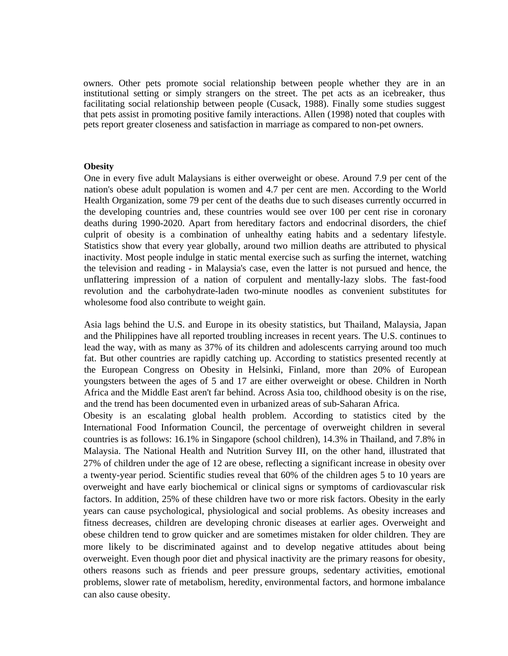owners. Other pets promote social relationship between people whether they are in an institutional setting or simply strangers on the street. The pet acts as an icebreaker, thus facilitating social relationship between people (Cusack, 1988). Finally some studies suggest that pets assist in promoting positive family interactions. Allen (1998) noted that couples with pets report greater closeness and satisfaction in marriage as compared to non-pet owners.

#### **Obesity**

One in every five adult Malaysians is either overweight or obese. Around 7.9 per cent of the nation's obese adult population is women and 4.7 per cent are men. According to the World Health Organization, some 79 per cent of the deaths due to such diseases currently occurred in the developing countries and, these countries would see over 100 per cent rise in coronary deaths during 1990-2020. Apart from hereditary factors and endocrinal disorders, the chief culprit of obesity is a combination of unhealthy eating habits and a sedentary lifestyle. Statistics show that every year globally, around two million deaths are attributed to physical inactivity. Most people indulge in static mental exercise such as surfing the internet, watching the television and reading - in Malaysia's case, even the latter is not pursued and hence, the unflattering impression of a nation of corpulent and mentally-lazy slobs. The fast-food revolution and the carbohydrate-laden two-minute noodles as convenient substitutes for wholesome food also contribute to weight gain.

Asia lags behind the U.S. and Europe in its obesity statistics, but Thailand, Malaysia, Japan and the Philippines have all reported troubling increases in recent years. The U.S. continues to lead the way, with as many as 37% of its children and adolescents carrying around too much fat. But other countries are rapidly catching up. According to statistics presented recently at the European Congress on Obesity in Helsinki, Finland, more than 20% of European youngsters between the ages of 5 and 17 are either overweight or obese. Children in North Africa and the Middle East aren't far behind. Across Asia too, childhood obesity is on the rise, and the trend has been documented even in urbanized areas of sub-Saharan Africa.

Obesity is an escalating global health problem. According to statistics cited by the International Food Information Council, the percentage of overweight children in several countries is as follows: 16.1% in Singapore (school children), 14.3% in Thailand, and 7.8% in Malaysia. The National Health and Nutrition Survey III, on the other hand, illustrated that 27% of children under the age of 12 are obese, reflecting a significant increase in obesity over a twenty-year period. Scientific studies reveal that 60% of the children ages 5 to 10 years are overweight and have early biochemical or clinical signs or symptoms of cardiovascular risk factors. In addition, 25% of these children have two or more risk factors. Obesity in the early years can cause psychological, physiological and social problems. As obesity increases and fitness decreases, children are developing chronic diseases at earlier ages. Overweight and obese children tend to grow quicker and are sometimes mistaken for older children. They are more likely to be discriminated against and to develop negative attitudes about being overweight. Even though poor diet and physical inactivity are the primary reasons for obesity, others reasons such as friends and peer pressure groups, sedentary activities, emotional problems, slower rate of metabolism, heredity, environmental factors, and hormone imbalance can also cause obesity.